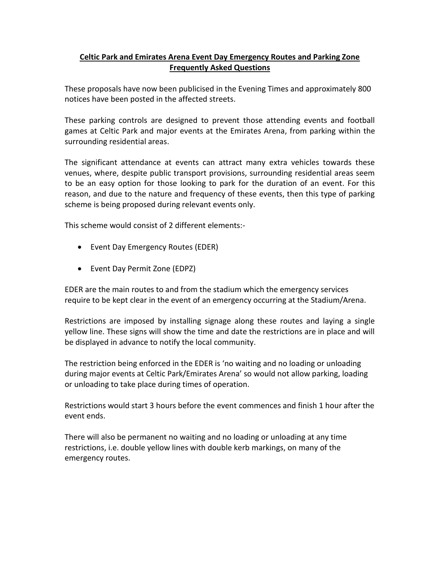## **Celtic Park and Emirates Arena Event Day Emergency Routes and Parking Zone Frequently Asked Questions**

These proposals have now been publicised in the Evening Times and approximately 800 notices have been posted in the affected streets.

These parking controls are designed to prevent those attending events and football games at Celtic Park and major events at the Emirates Arena, from parking within the surrounding residential areas.

The significant attendance at events can attract many extra vehicles towards these venues, where, despite public transport provisions, surrounding residential areas seem to be an easy option for those looking to park for the duration of an event. For this reason, and due to the nature and frequency of these events, then this type of parking scheme is being proposed during relevant events only.

This scheme would consist of 2 different elements:-

- Event Day Emergency Routes (EDER)
- Event Day Permit Zone (EDPZ)

EDER are the main routes to and from the stadium which the emergency services require to be kept clear in the event of an emergency occurring at the Stadium/Arena.

Restrictions are imposed by installing signage along these routes and laying a single yellow line. These signs will show the time and date the restrictions are in place and will be displayed in advance to notify the local community.

The restriction being enforced in the EDER is 'no waiting and no loading or unloading during major events at Celtic Park/Emirates Arena' so would not allow parking, loading or unloading to take place during times of operation.

Restrictions would start 3 hours before the event commences and finish 1 hour after the event ends.

There will also be permanent no waiting and no loading or unloading at any time restrictions, i.e. double yellow lines with double kerb markings, on many of the emergency routes.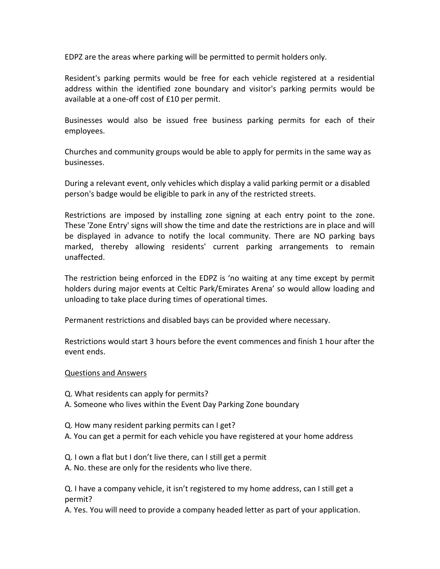EDPZ are the areas where parking will be permitted to permit holders only.

Resident's parking permits would be free for each vehicle registered at a residential address within the identified zone boundary and visitor's parking permits would be available at a one-off cost of £10 per permit.

Businesses would also be issued free business parking permits for each of their employees.

Churches and community groups would be able to apply for permits in the same way as businesses.

During a relevant event, only vehicles which display a valid parking permit or a disabled person's badge would be eligible to park in any of the restricted streets.

Restrictions are imposed by installing zone signing at each entry point to the zone. These 'Zone Entry' signs will show the time and date the restrictions are in place and will be displayed in advance to notify the local community. There are NO parking bays marked, thereby allowing residents' current parking arrangements to remain unaffected.

The restriction being enforced in the EDPZ is 'no waiting at any time except by permit holders during major events at Celtic Park/Emirates Arena' so would allow loading and unloading to take place during times of operational times.

Permanent restrictions and disabled bays can be provided where necessary.

Restrictions would start 3 hours before the event commences and finish 1 hour after the event ends.

## Questions and Answers

- Q. What residents can apply for permits?
- A. Someone who lives within the Event Day Parking Zone boundary
- Q. How many resident parking permits can I get?
- A. You can get a permit for each vehicle you have registered at your home address

Q. I own a flat but I don't live there, can I still get a permit

A. No. these are only for the residents who live there.

Q. I have a company vehicle, it isn't registered to my home address, can I still get a permit?

A. Yes. You will need to provide a company headed letter as part of your application.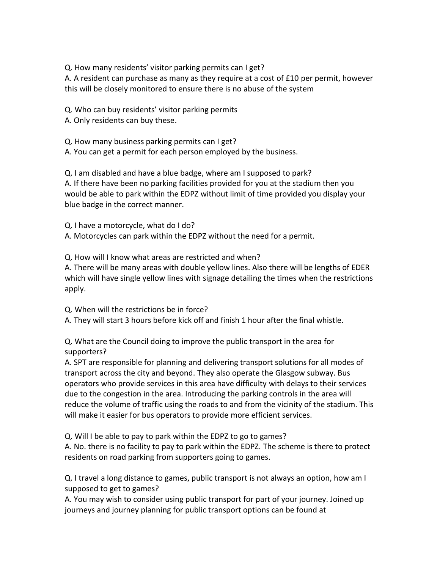Q. How many residents' visitor parking permits can I get?

A. A resident can purchase as many as they require at a cost of £10 per permit, however this will be closely monitored to ensure there is no abuse of the system

Q. Who can buy residents' visitor parking permits

A. Only residents can buy these.

Q. How many business parking permits can I get?

A. You can get a permit for each person employed by the business.

Q. I am disabled and have a blue badge, where am I supposed to park? A. If there have been no parking facilities provided for you at the stadium then you would be able to park within the EDPZ without limit of time provided you display your blue badge in the correct manner.

Q. I have a motorcycle, what do I do? A. Motorcycles can park within the EDPZ without the need for a permit.

Q. How will I know what areas are restricted and when? A. There will be many areas with double yellow lines. Also there will be lengths of EDER which will have single yellow lines with signage detailing the times when the restrictions apply.

Q. When will the restrictions be in force? A. They will start 3 hours before kick off and finish 1 hour after the final whistle.

Q. What are the Council doing to improve the public transport in the area for supporters?

A. SPT are responsible for planning and delivering transport solutions for all modes of transport across the city and beyond. They also operate the Glasgow subway. Bus operators who provide services in this area have difficulty with delays to their services due to the congestion in the area. Introducing the parking controls in the area will reduce the volume of traffic using the roads to and from the vicinity of the stadium. This will make it easier for bus operators to provide more efficient services.

Q. Will I be able to pay to park within the EDPZ to go to games?

A. No. there is no facility to pay to park within the EDPZ. The scheme is there to protect residents on road parking from supporters going to games.

Q. I travel a long distance to games, public transport is not always an option, how am I supposed to get to games?

A. You may wish to consider using public transport for part of your journey. Joined up journeys and journey planning for public transport options can be found at